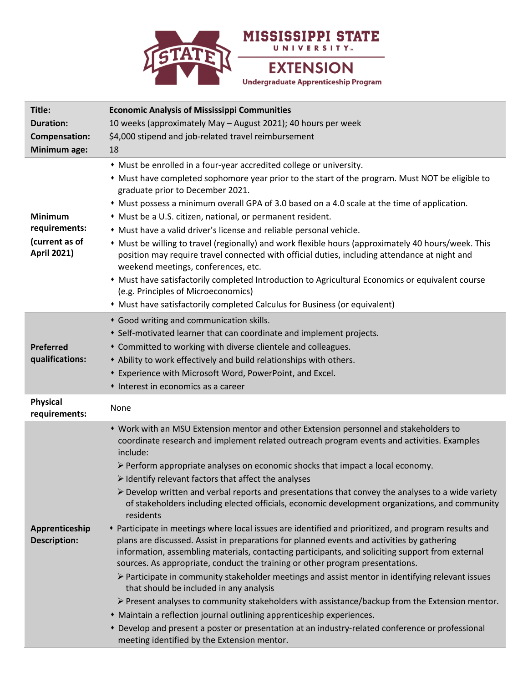

| Title:                                |                                                                                                                                                                                                                                                                                                                                                                                         |
|---------------------------------------|-----------------------------------------------------------------------------------------------------------------------------------------------------------------------------------------------------------------------------------------------------------------------------------------------------------------------------------------------------------------------------------------|
| <b>Duration:</b>                      | <b>Economic Analysis of Mississippi Communities</b>                                                                                                                                                                                                                                                                                                                                     |
|                                       | 10 weeks (approximately May - August 2021); 40 hours per week                                                                                                                                                                                                                                                                                                                           |
| <b>Compensation:</b>                  | \$4,000 stipend and job-related travel reimbursement                                                                                                                                                                                                                                                                                                                                    |
| Minimum age:                          | 18                                                                                                                                                                                                                                                                                                                                                                                      |
|                                       | • Must be enrolled in a four-year accredited college or university.                                                                                                                                                                                                                                                                                                                     |
|                                       | • Must have completed sophomore year prior to the start of the program. Must NOT be eligible to<br>graduate prior to December 2021.                                                                                                                                                                                                                                                     |
|                                       | • Must possess a minimum overall GPA of 3.0 based on a 4.0 scale at the time of application.                                                                                                                                                                                                                                                                                            |
| <b>Minimum</b>                        | • Must be a U.S. citizen, national, or permanent resident.                                                                                                                                                                                                                                                                                                                              |
| requirements:                         | • Must have a valid driver's license and reliable personal vehicle.                                                                                                                                                                                                                                                                                                                     |
| (current as of<br><b>April 2021)</b>  | * Must be willing to travel (regionally) and work flexible hours (approximately 40 hours/week. This<br>position may require travel connected with official duties, including attendance at night and<br>weekend meetings, conferences, etc.                                                                                                                                             |
|                                       | • Must have satisfactorily completed Introduction to Agricultural Economics or equivalent course<br>(e.g. Principles of Microeconomics)                                                                                                                                                                                                                                                 |
|                                       | • Must have satisfactorily completed Calculus for Business (or equivalent)                                                                                                                                                                                                                                                                                                              |
|                                       | * Good writing and communication skills.                                                                                                                                                                                                                                                                                                                                                |
|                                       | • Self-motivated learner that can coordinate and implement projects.                                                                                                                                                                                                                                                                                                                    |
| <b>Preferred</b>                      | * Committed to working with diverse clientele and colleagues.                                                                                                                                                                                                                                                                                                                           |
| qualifications:                       | • Ability to work effectively and build relationships with others.                                                                                                                                                                                                                                                                                                                      |
|                                       | * Experience with Microsoft Word, PowerPoint, and Excel.                                                                                                                                                                                                                                                                                                                                |
|                                       |                                                                                                                                                                                                                                                                                                                                                                                         |
|                                       |                                                                                                                                                                                                                                                                                                                                                                                         |
|                                       | • Interest in economics as a career                                                                                                                                                                                                                                                                                                                                                     |
| <b>Physical</b><br>requirements:      | None                                                                                                                                                                                                                                                                                                                                                                                    |
|                                       | • Work with an MSU Extension mentor and other Extension personnel and stakeholders to                                                                                                                                                                                                                                                                                                   |
|                                       | coordinate research and implement related outreach program events and activities. Examples                                                                                                                                                                                                                                                                                              |
|                                       | include:                                                                                                                                                                                                                                                                                                                                                                                |
|                                       | $\triangleright$ Perform appropriate analyses on economic shocks that impact a local economy.                                                                                                                                                                                                                                                                                           |
|                                       | $\triangleright$ Identify relevant factors that affect the analyses                                                                                                                                                                                                                                                                                                                     |
|                                       | $\triangleright$ Develop written and verbal reports and presentations that convey the analyses to a wide variety<br>of stakeholders including elected officials, economic development organizations, and community<br>residents                                                                                                                                                         |
| Apprenticeship<br><b>Description:</b> | * Participate in meetings where local issues are identified and prioritized, and program results and<br>plans are discussed. Assist in preparations for planned events and activities by gathering<br>information, assembling materials, contacting participants, and soliciting support from external<br>sources. As appropriate, conduct the training or other program presentations. |
|                                       | $\triangleright$ Participate in community stakeholder meetings and assist mentor in identifying relevant issues<br>that should be included in any analysis                                                                                                                                                                                                                              |
|                                       | $\triangleright$ Present analyses to community stakeholders with assistance/backup from the Extension mentor.                                                                                                                                                                                                                                                                           |
|                                       | • Maintain a reflection journal outlining apprenticeship experiences.<br>* Develop and present a poster or presentation at an industry-related conference or professional                                                                                                                                                                                                               |